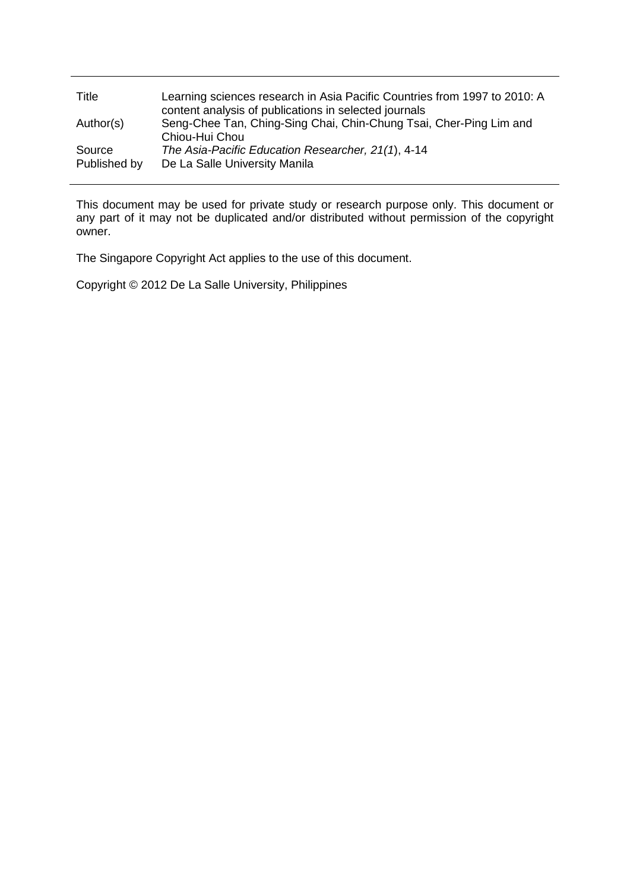| Title                  | Learning sciences research in Asia Pacific Countries from 1997 to 2010: A<br>content analysis of publications in selected journals |
|------------------------|------------------------------------------------------------------------------------------------------------------------------------|
| Author(s)              | Seng-Chee Tan, Ching-Sing Chai, Chin-Chung Tsai, Cher-Ping Lim and<br>Chiou-Hui Chou                                               |
| Source<br>Published by | The Asia-Pacific Education Researcher, 21(1), 4-14<br>De La Salle University Manila                                                |

This document may be used for private study or research purpose only. This document or any part of it may not be duplicated and/or distributed without permission of the copyright owner.

The Singapore Copyright Act applies to the use of this document.

Copyright © 2012 De La Salle University, Philippines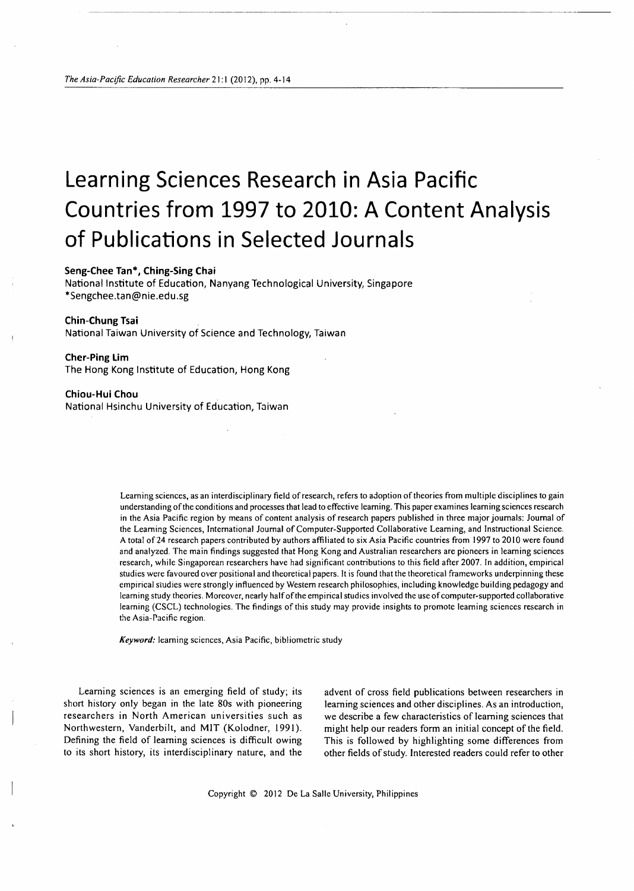# **Learning Sciences Research in Asia Pacific Countries from 1997 to 2010: A Content Analysis of Publications in Selected Journals**

---------------------------------------------------------

### **Seng-Chee Tan\*, Ching-Sing Chai**

National Institute of Education, Nanyang Technological University, Singapore \*Sengchee.tan@nie.edu.sg

#### **Chin-Chung Tsai**

National Taiwan University of Science and Technology, Taiwan

#### **Cher-Ping Lim**

The Hong Kong Institute of Education, Hong Kong

#### **Chiou-Hui Chou**

National Hsinchu University of Education, Taiwan

Learning sciences, as an interdisciplinary field of research, refers to adoption of theories from multiple disciplines to gain understanding of the conditions and processes that lead to effective learning. This paper examines learning sciences research in the Asia Pacific region by means of content analysis of research papers published in three major journals: Journal of the Learning Sciences, International Journal of Computer-Supported Collaborative Learning, and Instructional Science. A total of 24 research papers contributed by authors affiliated to six Asia Pacific countries from 1997 to 2010 were found and analyzed. The main findings suggested that Hong Kong and Australian researchers are pioneers in learning sciences research, while Singaporean researchers have had significant contributions to this field after 2007. In addition, empirical studies were favoured over positional and theoretical papers. It is found that the theoretical frameworks underpinning these empirical studies were strongly influenced by Western research philosophies, including knowledge building pedagogy and learning study theories. Moreover, nearly half of the empirical studies involved the use of computer-supported collaborative learning (CSCL) technologies. The findings of this study may provide insights to promote learning sciences research in the Asia-Pacific region.

*Keyword:* learning sciences, Asia Pacific, bibliometric study

Learning sciences is an emerging field of study; its short history only began in the late 80s with pioneering researchers in North American universities such as Northwestern, Vanderbilt, and MIT (Kolodner, 1991). Defining the field of learning sciences is difficult owing to its short history, its interdisciplinary nature, and the

advent of cross field publications between researchers in learning sciences and other disciplines. As an introduction, we describe a few characteristics of learning sciences that might help our readers form an initial concept of the field. This is followed by highlighting some differences from other fields of study. Interested readers could refer to other

Copyright © 2012 De La Salle University, Philippines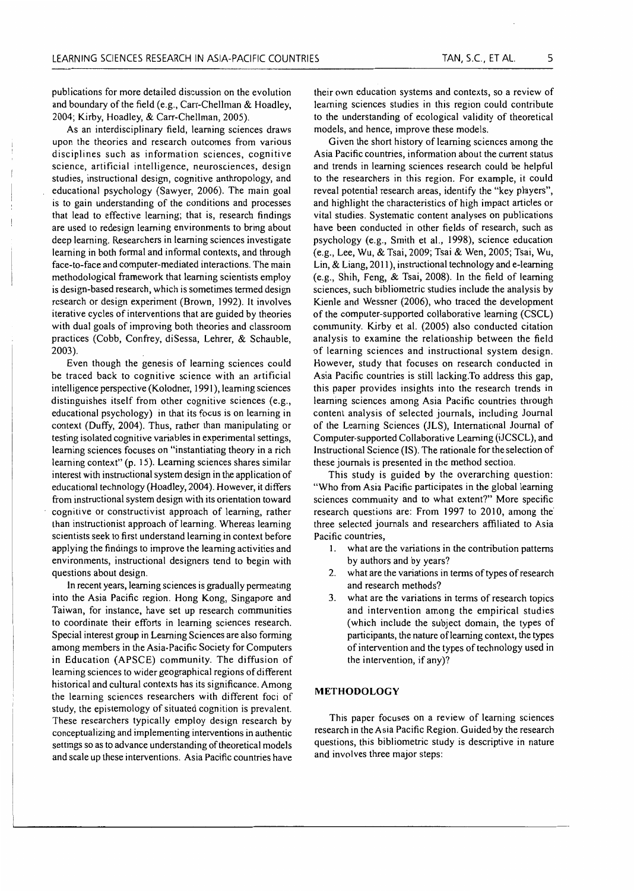publications for more detailed discussion on the evolution and boundary of the field (e.g., Carr-Chellman & Hoadley, 2004; Kirby, Hoadley, & Carr-Chellman, 2005).

As an interdisciplinary field, learning sciences draws upon the theories and research outcomes from various disciplines such as information sciences, cognitive science, artificial intelligence, neurosciences, design studies, instructional design, cognitive anthropology, and educational psychology (Sawyer, 2006). The main goal is to gain understanding of the conditions and processes that lead to effective learning; that is, research findings are used to redesign learning environments to bring about deep learning. Researchers in learning sciences investigate learning in both formal and informal contexts, and through face-to-face and computer-mediated interactions. The main methodological framework that learning scientists employ is design-based research, which is sometimes termed design research or design experiment (Brown, 1992). It involves iterative cycles of interventions that are guided by theories with dual goals of improving both theories and classroom practices (Cobb, Confrey, diSessa, Lehrer, & Schauble, 2003).

Even though the genesis of learning sciences could be traced back to cognitive science with an artificial intelligence perspective (Kolodner, 1991 ), learning sciences distinguishes itself from other cognitive sciences (e.g., educational psychology) in that its focus is on learning in context (Duffy, 2004). Thus, rather than manipulating or testing isolated cognitive variables in experimental settings, learning sciences focuses on "instantiating theory in a rich learning context" (p. 15). Learning sciences shares similar interest with instructional system design in the application of educational technology (Hoadley, 2004). However, it differs from instructional system design with its orientation toward cognitive or constructivist approach of learning, rather than instructionist approach of learning. Whereas learning scientists seek to first understand learning in context before applying the findings to improve the learning activities and environments, instructional designers tend to begin with questions about design.

In recent years, learning sciences is gradually permeating into the Asia Pacific region. Hong Kong, Singapore and Taiwan, for instance, have set up research communities to coordinate their efforts in learning sciences research. Special interest group in Learning Sciences are also forming among members in the Asia-Pacific Society for Computers in Education (APSCE) community. The diffusion of learning sciences to wider geographical regions of different historical and cultural contexts has its significance. Among the learning sciences researchers with different foci of study, the epistemology of situated cognition is prevalent. These researchers typically employ design research by conceptualizing and implementing interventions in authentic settings so as to advance understanding of theoretical models and scale up these interventions. Asia Pacific countries have their own education systems and contexts, so a review of learning sciences studies in this region could contribute to the understanding of ecological validity of theoretical models, and hence, improve these models.

Given the short history of learning sciences among the Asia Pacific countries, information about the current status and trends in learning sciences research could be helpful to the researchers in this region. For example, it could reveal potential research areas, identify the "key players", and highlight the characteristics of high impact articles or vital studies. Systematic content analyses on publications have been conducted in other fields of research, such as psychology (e.g., Smith et al., 1998), science education (e.g., Lee, Wu, & Tsai, 2009; Tsai & Wen, 2005; Tsai, Wu, Lin, & Liang, 2011 ), instructional technology and e-leaming (e.g., Shih, Feng, & Tsai, 2008). In the field of learning sciences, such bibliometric studies include the analysis by Kienle and Wessner (2006), who traced the development of the computer-supported collaborative learning (CSCL) community. Kirby et al. (2005) also conducted citation analysis to examine the relationship between the field of learning sciences and instructional system design. However, study that focuses on research conducted in Asia Pacific countries is still lacking.To address this gap, this paper provides insights into the research trends in learning sciences among Asia Pacific countries through content analysis of selected journals, including Journal of the Learning Sciences (JLS), International Journal of Computer-supported Collaborative Learning (iJCSCL), and Instructional Science (IS). The rationale for the selection of these journals is presented in the method section.

This study is guided by the overarching question: "Who from Asia Pacific participates in the global learning sciences community and to what extent?" More specific research questions are: From 1997 to 2010, among the three selected journals and researchers affiliated to Asia Pacific countries,

- 1. what are the variations in the contribution patterns by authors and by years?
- 2. what are the variations in terms of types of research and research methods?
- 3. what are the variations in terms of research topics and intervention among the empirical studies (which include the subject domain, the types of participants, the nature of learning context, the types of intervention and the types of technology used in the intervention, if any)?

# **METHODOLOGY**

This paper focuses on a review of learning sciences research in the Asia Pacific Region. Guided by the research questions, this bibliometric study is descriptive in nature and involves three major steps: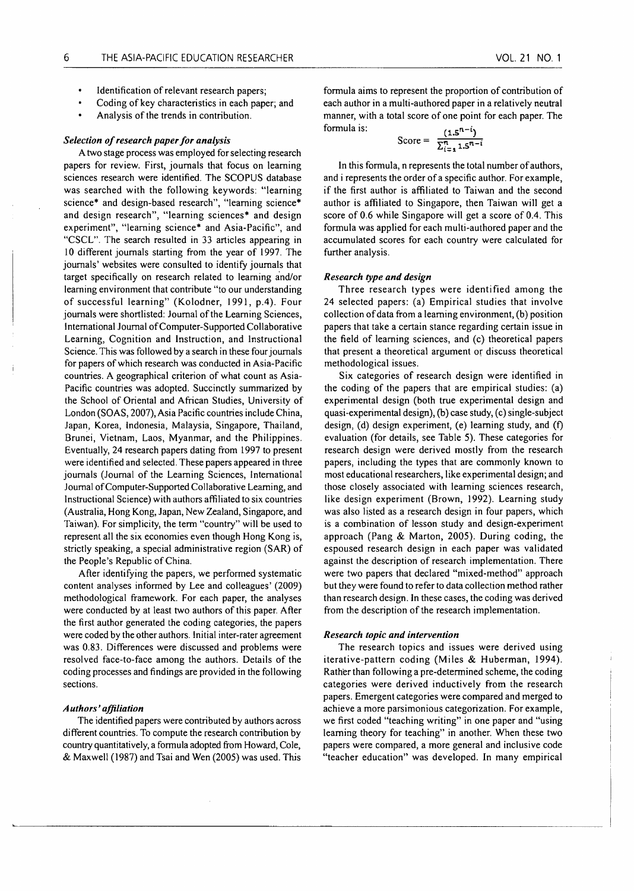- Identification of relevant research papers;
- Coding of key characteristics in each paper; and
- Analysis of the trends in contribution.

#### *Selection of research paper for analysis*

A two stage process was employed for selecting research papers for review. First, journals that focus on learning sciences research were identified. The SCOPUS database was searched with the following keywords: "learning science\* and design-based research", "learning science\* and design research", "learning sciences\* and design experiment", "learning science\* and Asia-Pacific", and "CSCL". The search resulted in 33 articles appearing in 10 different journals starting from the year of 1997. The journals' websites were consulted to identify journals that target specifically on research related to learning and/or learning environment that contribute "to our understanding of successful learning" (Kolodner, 1991, p.4). Four journals were shortlisted: Journal of the Learning Sciences, International Journal of Computer-Supported Collaborative Learning, Cognition and Instruction, and Instructional Science. This was followed by a search in these four journals for papers of which research was conducted in Asia-Pacific countries. A geographical criterion of what count as Asia-Pacific countries was adopted. Succinctly summarized by the School of Oriental and African Studies, University of London (SOAS, 2007), Asia Pacific countries include China, Japan, Korea, Indonesia, Malaysia, Singapore, Thailand, Brunei, Vietnam, Laos, Myanmar, and the Philippines. Eventually, 24 research papers dating from 1997 to present were identified and selected. These papers appeared in three journals (Journal of the Learning Sciences, International Journal of Computer-Supported Collaborative Learning, and Instructional Science) with authors affiliated to six countries (Australia, Hong Kong, Japan, New Zealand, Singapore, and Taiwan). For simplicity, the term "country" will be used to represent all the six economies even though Hong Kong is, strictly speaking, a special administrative region (SAR) of the People's Republic of China.

After identifying the papers, we performed systematic content analyses informed by Lee and colleagues' (2009) methodological framework. For each paper, the analyses were conducted by at least two authors of this paper. After the first author generated the coding categories, the papers were coded by the other authors. Initial inter-rater agreement was 0.83. Differences were discussed and problems were resolved face-to-face among the authors. Details of the coding processes and findings are provided in the following sections.

# *Authors' affiliation*

The identified papers were contributed by authors across different countries. To compute the research contribution by country quantitatively, a formula adopted from Howard, Cole, & Maxwell ( 1987) and Tsai and Wen (2005) was used. This

formula aims to represent the proportion of contribution of each author in a multi-authored paper in a relatively neutral manner, with a total score of one point for each paper. The formula is:  $\mathbf{I} = \mathbf{n} - \mathbf{i}$ 

$$
Score = \frac{(1.5^{n-1})}{\sum_{i=1}^{n} 1.5^{n-i}}
$$

In this formula, n represents the total number of authors, and i represents the order of a specific author. For example, if the first author is affiliated to Taiwan and the second author is affiliated to Singapore, then Taiwan will get a score of 0.6 while Singapore will get a score of 0.4. This formula was applied for each multi-authored paper and the accumulated scores for each country were calculated for further analysis.

#### *Research type and design*

Three research types were identified among the 24 selected papers: (a) Empirical studies that involve collection of data from a learning environment, (b) position papers that take a certain stance regarding certain issue in the field of learning sciences, and (c) theoretical papers that present a theoretical argument or discuss theoretical methodological issues.

Six categories of research design were identified in the coding of the papers that are empirical studies: (a) experimental design (both true experimental design and quasi-experimental design), (b) case study, (c) single-subject design, (d) design experiment, (e) learning study, and (f) evaluation (for details, see Table 5). These categories for research design were derived mostly from the research papers, including the types that are commonly known to most educational researchers, like experimental design; and those closely associated with learning sciences research, like design experiment (Brown, 1992). Learning study was also listed as a research design in four papers, which is a combination of lesson study and design-experiment approach (Pang & Marton, 2005). During coding, the espoused research design in each paper was validated against the description of research implementation. There were two papers that declared "mixed-method" approach but they were found to refer to data collection method rather than research design. In these cases, the coding was derived from the description of the research implementation.

#### *Research topic and intervention*

The research topics and issues were derived using iterative-pattern coding (Miles & Huberman, 1994). Rather than following a pre-determined scheme, the coding categories were derived inductively from the research papers. Emergent categories were compared and merged to achieve a more parsimonious categorization. For example, we first coded "teaching writing" in one paper and "using learning theory for teaching" in another. When these two papers were compared, a more general and inclusive code "teacher education" was developed. In many empirical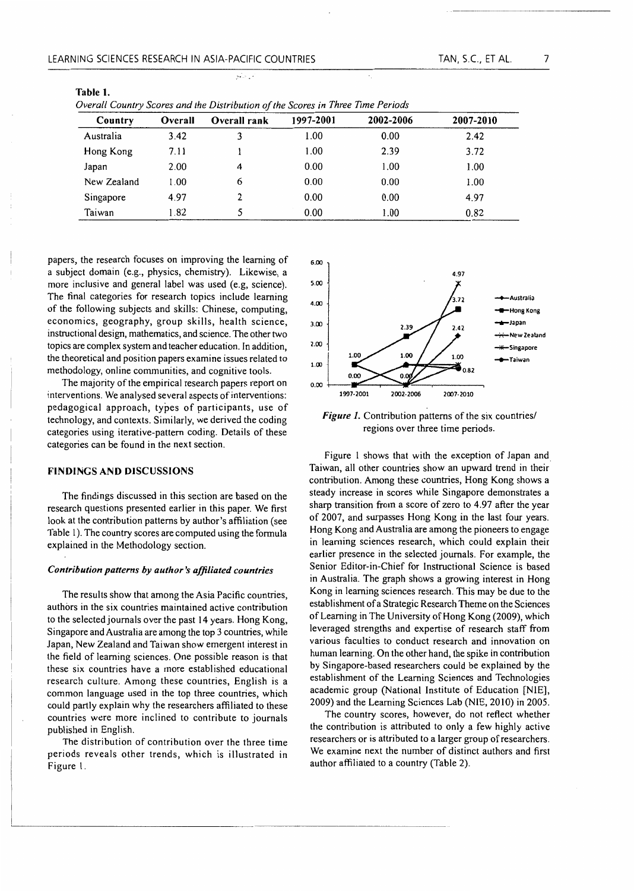Table 1.

'•

*Overall Country Scores and the Distribution of the Scores in Three Time Periods* 

| Country     | Overall | Overall rank | 1997-2001 | 2002-2006 | 2007-2010 |
|-------------|---------|--------------|-----------|-----------|-----------|
| Australia   | 3.42    |              | 1.00      | 0.00      | 2.42      |
| Hong Kong   | 7.11    |              | 1.00      | 2.39      | 3.72      |
| Japan       | 2.00    | 4            | 0.00      | 1.00      | 1.00      |
| New Zealand | 1.00    | 6            | 0.00      | 0.00      | 1.00      |
| Singapore   | 4.97    |              | 0.00      | 0.00      | 4.97      |
| Taiwan      | 1.82    |              | 0.00      | 1.00      | 0.82      |

papers, the research focuses on improving the learning of a subject domain (e.g., physics, chemistry). Likewise, a more inclusive and general label was used (e.g, science). The final categories for research topics include learning of the following subjects and skills: Chinese, computing, economics, geography, group skills, health science, instructional design, mathematics, and science. The other two topics are complex system and teacher education. In addition, the theoretical and position papers examine issues related to methodology, online communities, and cognitive tools.

The majority of the empirical research papers report on interventions. We analysed several aspects of interventions: pedagogical approach, types of participants, use of technology, and contexts. Similarly, we derived the coding categories using iterative-pattern coding. Details of these categories can be found in the next section.

# FINDINGS AND DISCUSSIONS

The findings discussed in this section are based on the research questions presented earlier in this paper. We first look at the contribution patterns by author's affiliation (see Table I). The country scores are computed using the formula explained in the Methodology section.

#### *Contribution patterns by author's affiliated countries*

The results show that among the Asia Pacific countries, authors in the six countries maintained active contribution to the selected journals over the past 14 years. Hong Kong, Singapore and Australia are among the top 3 countries, while Japan, New Zealand and Taiwan show emergent interest in the field of learning sciences. One possible reason is that these six countries have a more established educational research culture. Among these countries, English is a common language used in the top three countries, which could partly explain why the researchers affiliated to these countries were more inclined to contribute to journals published in English.

The distribution of contribution over the three time periods reveals other trends, which is illustrated in Figure I.



*Figure* 1. Contribution patterns of the six countries/ regions over three time periods.

Figure 1 shows that with the exception of Japan and Taiwan, all other countries show an upward trend in their. contribution. Among these countries, Hong Kong shows a steady increase in scores while Singapore demonstrates a sharp transition from a score of zero to 4.97 after the year of 2007, and surpasses Hong Kong in the last four years. Hong Kong and Australia are among the pioneers to engage in learning sciences research, which could explain their earlier presence in the selected journals. For example, the Senior Editor-in-Chief for Instructional Science is based in Australia. The graph shows a growing interest in Hong Kong in learning sciences research. This may be due to the establishment of a Strategic Research Theme on the Sciences of Learning in The University of Hong Kong (2009), which leveraged strengths and expertise of research staff from various faculties to conduct research and innovation on human learning. On the other hand, the spike in contribution by Singapore-based researchers could be explained by the establishment of the Learning Sciences and Technologies academic group (National Institute of Education [NlE], 2009) and the Learning Sciences Lab (NIE, 2010) in 2005.

The country scores, however, do not reflect whether the contribution is attributed to only a few highly active researchers or is attributed to a larger group of researchers. We examine next the number of distinct authors and first author affiliated to a country (Table 2).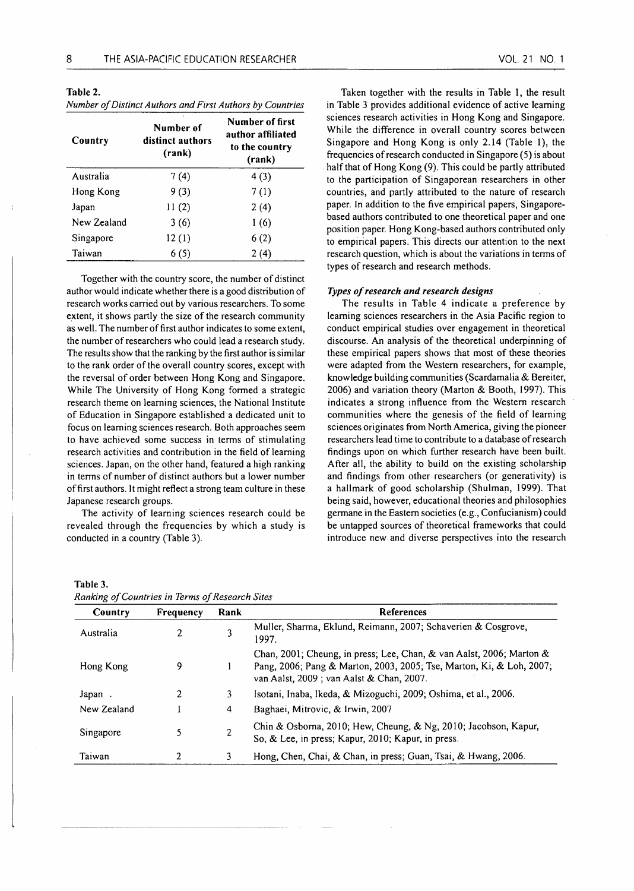Table 2. *Number of Distinct Authors and First Authors by Countries* 

| Country     | Number of<br>distinct authors<br>(rank) | Number of first<br>author affiliated<br>to the country<br>(rank) |
|-------------|-----------------------------------------|------------------------------------------------------------------|
| Australia   | 7(4)                                    | 4(3)                                                             |
| Hong Kong   | 9(3)                                    | 7(1)                                                             |
| Japan       | II(2)                                   | 2(4)                                                             |
| New Zealand | 3(6)                                    | 1(6)                                                             |
| Singapore   | 12(1)                                   | 6(2)                                                             |
| Taiwan      | 6(5)                                    | 2(4)                                                             |

Together with the country score, the number of distinct author would indicate whether there is a good distribution of research works carried out by various researchers. To some extent, it shows partly the size of the research community as well. The number of first author indicates to some extent, the number of researchers who could lead a research study. The results show that the ranking by the first author is similar to the rank order of the overall country scores, except with the reversal of order between Hong Kong and Singapore. While The University of Hong Kong formed a strategic research theme on learning sciences, the National Institute of Education in Singapore established a dedicated unit to focus on learning sciences research. Both approaches seem to have achieved some success in terms of stimulating research activities and contribution in the field of learning sciences. Japan, on the other hand, featured a high ranking in terms of number of distinct authors but a lower number of first authors. It might reflect a strong team culture in these Japanese research groups.

The activity of learning sciences research could be revealed through the frequencies by which a study is conducted in a country (Table 3).

VOL. 21 NO. 1

in Table 3 provides additional evidence of active learning sciences research activities in Hong Kong and Singapore. While the difference in overall country scores between Singapore and Hong Kong is only 2.14 (Table 1), the frequencies of research conducted in Singapore (5) is about half that of Hong Kong (9). This could be partly attributed to the participation of Singaporean researchers in other countries, and partly attributed to the nature of research paper. In addition to the five empirical papers, Singaporebased authors contributed to one theoretical paper and one position paper. Hong Kong-based authors contributed only to empirical papers. This directs our attention to the next research question, which is about the variations in terms of types of research and research methods.

#### *Types of research and research designs*

The results in Table 4 indicate a preference by learning sciences researchers in the Asia Pacific region to conduct empirical studies over engagement in theoretical discourse. An analysis of the theoretical underpinning of these empirical papers shows that most of these theories were adapted from the Western researchers, for example, knowledge building communities (Scardamalia & Bereiter, 2006) and variation theory (Marton & Booth, 1997). This indicates a strong influence from the Western research communities where the genesis of the field of learning sciences originates from North America, giving the pioneer researchers lead time to contribute to a database of research findings upon on which further research have been built. After all, the ability to build on the existing scholarship and findings from other researchers (or generativity) is a hallmark of good scholarship (Shulman, 1999). That being said, however, educational theories and philosophies germane in the Eastern societies (e.g., Confucianism) could be untapped sources of theoretical frameworks that could introduce new and diverse perspectives into the research

# Table 3. *Ranking of Countries in Terms of Research Sites*

| Country     | Frequency | Rank | <b>References</b>                                                                                                                                                                        |
|-------------|-----------|------|------------------------------------------------------------------------------------------------------------------------------------------------------------------------------------------|
| Australia   |           |      | Muller, Sharma, Eklund, Reimann, 2007; Schaverien & Cosgrove,<br>1997.                                                                                                                   |
| Hong Kong   | 9         |      | Chan, 2001; Cheung, in press; Lee, Chan, & van Aalst, 2006; Marton &<br>Pang, 2006; Pang & Marton, 2003, 2005; Tse, Marton, Ki, & Loh, 2007;<br>van Aalst, 2009; van Aalst & Chan, 2007. |
| Japan.      | 2         | 3    | Isotani, Inaba, Ikeda, & Mizoguchi, 2009; Oshima, et al., 2006.                                                                                                                          |
| New Zealand |           | 4    | Baghaei, Mitrovic, & Irwin, 2007                                                                                                                                                         |
| Singapore   |           | 2    | Chin & Osborna, 2010; Hew, Cheung, & Ng, 2010; Jacobson, Kapur,<br>So, & Lee, in press; Kapur, 2010; Kapur, in press.                                                                    |
| Taiwan      |           | 3.   | Hong, Chen, Chai, & Chan, in press; Guan, Tsai, & Hwang, 2006.                                                                                                                           |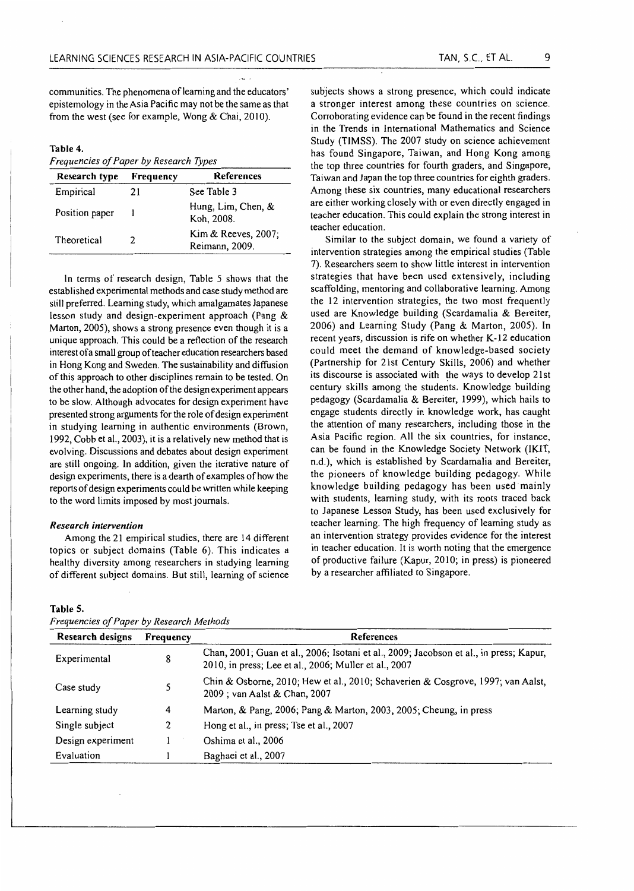communities. The phenomena of learning and the educators' epistemology in the Asia Pacific may not be the same as that from the west (see for example, Wong  $& Chai, 2010$ ).

#### Table 4.

*Frequencies of Paper by Research Types* 

| Research type  | Frequency | <b>References</b>                     |
|----------------|-----------|---------------------------------------|
| Empirical      | 21        | See Table 3                           |
| Position paper |           | Hung, Lim, Chen, &<br>Koh, 2008.      |
| Theoretical    | 2         | Kim & Reeves, 2007;<br>Reimann, 2009. |

In terms of research design, Table 5 shows that the established experimental methods and case study method are still preferred. Learning study, which amalgamates Japanese lesson study and design-experiment approach (Pang & Marton, 2005), shows a strong presence even though it is a unique approach. This could be a reflection of the research interest of a small group of teacher education researchers based in Hong Kong and Sweden. The sustainability and diffusion of this approach to other disciplines remain to be tested. On the other hand, the adoption of the design experiment appears to be slow. Although advocates for design experiment have presented strong arguments for the role of design experiment in studying learning in authentic environments (Brown, 1992, Cobb et al., 2003), it is a relatively new method that is evolving. Discussions and debates about design experiment are still ongoing. In addition, given the iterative nature of design experiments, there is a dearth of examples of how the reports of design experiments could be written while keeping to the word limits imposed by most journals.

#### *Research intervention*

Among the 21 empirical studies, there are 14 different topics or subject domains (Table 6). This indicates a healthy diversity among researchers in studying learning of different subject domains. But still, learning of science

*Frequencies of Paper by Research Methods* 

subjects shows a strong presence, which could indicate a stronger interest among these countries on science. Corroborating evidence can be found in the recent findings in the Trends in International Mathematics and Science Study (TlMSS). The 2007 study on science achievement has found Singapore, Taiwan, and Hong Kong among the top three countries for fourth graders, and Singapore, Taiwan and Japan the top three countries for eighth graders. Among these six countries, many educational researchers are either working closely with or even directly engaged in teacher education. This could explain the strong interest in teacher education.

Similar to the subject domain, we found a variety of intervention strategies among the empirical studies (Table 7). Researchers seem to show little interest in intervention strategies that have been used extensively, including scaffolding, mentoring and collaborative learning. Among the 12 intervention strategies, the two most frequently used are Knowledge building (Scardamalia & Bereiter, 2006) and Learning Study (Pang & Marton, 2005). In recent years, discussion is rife on whether K-12 education could meet the demand of knowledge-based society (Partnership for 21st Century Skills, 2006) and whether its discourse is associated with the ways to develop 21st century skills among the students. Knowledge building pedagogy (Scardamalia & Bereiter, 1999), which hails to engage students directly in knowledge work, has caught the attention of many researchers, including those in the Asia Pacific region. All the six countries, for instance, can be found in the Knowledge Society Network (IKIT, n.d.), which is established by Scardamalia and Bereiter, the pioneers of knowledge building pedagogy. While knowledge building pedagogy has been used mainly with students, learning study, with its roots traced back to Japanese Lesson Study, has been used exclusively for teacher learning. The high frequency of learning study as an intervention strategy provides evidence for the interest in teacher education. It is worth noting that the emergence of productive failure (Kapur, 2010; in press) is pioneered by a researcher affiliated to Singapore.

#### Table 5.

| <b>Research designs</b> | Frequency | <b>References</b>                                                                                                                               |  |
|-------------------------|-----------|-------------------------------------------------------------------------------------------------------------------------------------------------|--|
| Experimental            | 8         | Chan, 2001; Guan et al., 2006; Isotani et al., 2009; Jacobson et al., in press; Kapur,<br>2010, in press; Lee et al., 2006; Muller et al., 2007 |  |
| Case study              |           | Chin & Osborne, 2010; Hew et al., 2010; Schaverien & Cosgrove, 1997; van Aalst,<br>2009 ; van Aalst & Chan, 2007                                |  |
| Learning study          | 4         | Marton, & Pang, 2006; Pang & Marton, 2003, 2005; Cheung, in press                                                                               |  |
| Single subject          |           | Hong et al., in press; Tse et al., 2007                                                                                                         |  |
| Design experiment       |           | Oshima et al., 2006                                                                                                                             |  |
| Evaluation              |           | Baghaei et al., 2007                                                                                                                            |  |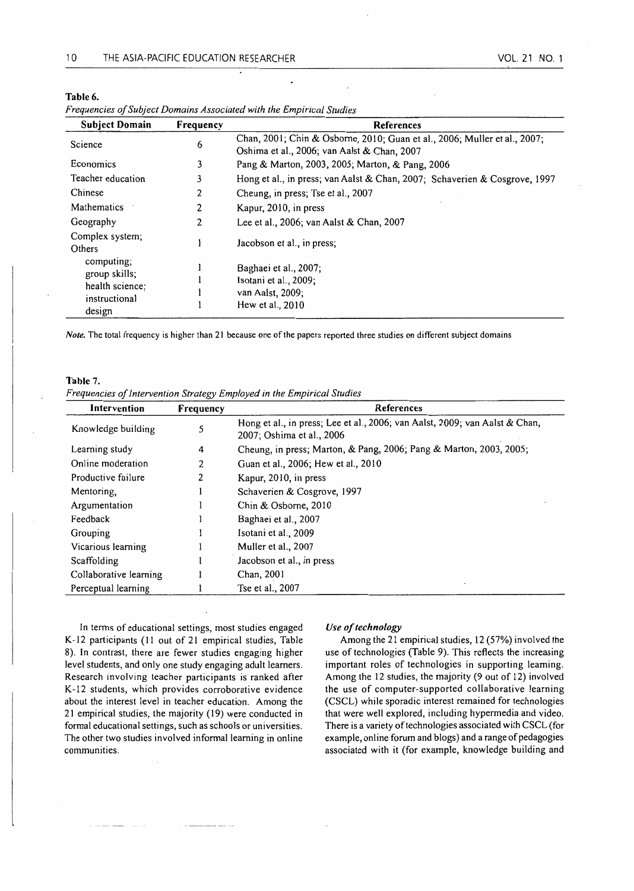Table 6.

| <b>Subject Domain</b>                                                     | Frequency | <b>References</b>                                                                                                        |
|---------------------------------------------------------------------------|-----------|--------------------------------------------------------------------------------------------------------------------------|
| Science                                                                   | 6         | Chan, 2001; Chin & Osborne, 2010; Guan et al., 2006; Muller et al., 2007;<br>Oshima et al., 2006; van Aalst & Chan, 2007 |
| Economics                                                                 | 3         | Pang & Marton, 2003, 2005; Marton, & Pang, 2006                                                                          |
| Teacher education                                                         | 3         | Hong et al., in press; van Aalst & Chan, 2007; Schaverien & Cosgrove, 1997                                               |
| Chinese                                                                   | 2         | Cheung, in press; Tse et al., 2007                                                                                       |
| Mathematics                                                               | 2         | Kapur, 2010, in press                                                                                                    |
| Geography                                                                 | 2         | Lee et al., 2006; van Aalst & Chan, 2007                                                                                 |
| Complex system;<br>Others                                                 |           | Jacobson et al., in press;                                                                                               |
| computing;<br>group skills;<br>health science;<br>instructional<br>design |           | Baghaei et al., 2007;<br>Isotani et al., 2009;<br>van Aalst, 2009;<br>Hew et al., 2010                                   |

*Note.* The total frequency is higher than 21 because one of the papers reported three studies on different subject domains

#### Table 7.

*Frequencies of intervention Strategy Employed in the Empirical Studies* 

| Intervention           | Frequency | <b>References</b>                                                                                        |
|------------------------|-----------|----------------------------------------------------------------------------------------------------------|
| Knowledge building     |           | Hong et al., in press; Lee et al., 2006; van Aalst, 2009; van Aalst & Chan,<br>2007; Oshima et al., 2006 |
| Learning study         | 4         | Cheung, in press; Marton, & Pang, 2006; Pang & Marton, 2003, 2005;                                       |
| Online moderation      | 2         | Guan et al., 2006; Hew et al., 2010                                                                      |
| Productive failure     | 2         | Kapur, 2010, in press                                                                                    |
| Mentoring.             |           | Schaverien & Cosgrove, 1997                                                                              |
| Argumentation          |           | Chin & Osborne, 2010                                                                                     |
| Feedback               |           | Baghaei et al., 2007                                                                                     |
| Grouping               |           | Isotani et al., 2009                                                                                     |
| Vicarious learning     |           | Muller et al., 2007                                                                                      |
| Scaffolding            |           | Jacobson et al., in press                                                                                |
| Collaborative learning |           | Chan, 2001                                                                                               |
| Perceptual learning    |           | Tse et al., 2007                                                                                         |

In terms of educational settings, most studies engaged K-12 participants (II out of 21 empirical studies, Table 8). In contrast, there are fewer studies engaging higher level students, and only one study engaging adult learners. Research involving teacher participants is ranked after K-12 students, which provides corroborative evidence about the interest level in teacher education. Among the 21 empirical studies, the majority ( 19) were conducted in formal educational settings, such as schools or universities. The other two studies involved informal learning in online communities.

#### *Use of technology*

Among the 21 empirical studies, 12 (57%) involved the use of technologies (Table 9). This reflects the increasing important roles of technologies in supporting learning. Among the 12 studies, the majprity (9 out of 12) involved the use of computer-supported collaborative learning (CSCL) while sporadic interest remained for technologies that were well explored, including hypermedia and video. There is a variety of technologies associated with CSCL (for example, online forum and blogs) and a range of pedagogies associated with it (for example, knowledge building and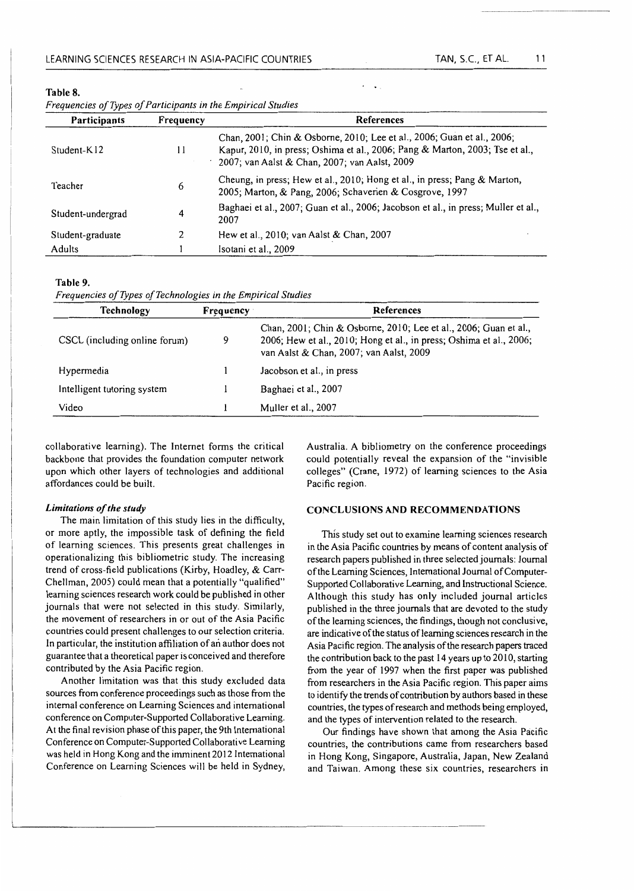| Table 8. |  |  |
|----------|--|--|
|----------|--|--|

| Frequencies of Types of Participants in the Empirical Studies |           |                                                                                                                                                                                                         |  |
|---------------------------------------------------------------|-----------|---------------------------------------------------------------------------------------------------------------------------------------------------------------------------------------------------------|--|
| <b>Participants</b>                                           | Frequency | <b>References</b>                                                                                                                                                                                       |  |
| Student-K12                                                   | 11        | Chan, 2001; Chin & Osborne, 2010; Lee et al., 2006; Guan et al., 2006;<br>Kapur, 2010, in press; Oshima et al., 2006; Pang & Marton, 2003; Tse et al.,<br>2007; van Aalst & Chan, 2007; van Aalst, 2009 |  |
| Teacher                                                       | 6         | Cheung, in press; Hew et al., 2010; Hong et al., in press; Pang & Marton,<br>2005; Marton, & Pang, 2006; Schaverien & Cosgrove, 1997                                                                    |  |
| Student-undergrad                                             | 4         | Baghaei et al., 2007; Guan et al., 2006; Jacobson et al., in press; Muller et al.,<br>2007                                                                                                              |  |
| Student-graduate                                              | 2         | Hew et al., 2010; van Aalst & Chan, 2007                                                                                                                                                                |  |
| Adults                                                        |           | Isotani et al., 2009                                                                                                                                                                                    |  |

#### Table 9.

*Frequencies of Types of Technologies in the Empirical Studies* 

| <b>Technology</b>             | Frequency | <b>References</b>                                                                                                                                                                  |
|-------------------------------|-----------|------------------------------------------------------------------------------------------------------------------------------------------------------------------------------------|
| CSCL (including online forum) | 9         | Chan, 2001; Chin & Osborne, 2010; Lee et al., 2006; Guan et al.,<br>2006; Hew et al., 2010; Hong et al., in press; Oshima et al., 2006;<br>van Aalst & Chan, 2007; van Aalst, 2009 |
| Hypermedia                    |           | Jacobson et al., in press                                                                                                                                                          |
| Intelligent tutoring system   |           | Baghaei et al., 2007                                                                                                                                                               |
| Video                         |           | Muller et al., 2007                                                                                                                                                                |

collaborative learning). The Internet forms the critical backbone that provides the foundation computer network upon which other layers of technologies and additional affordances could be built.

#### *Limitations of the study*

The main limitation of this study lies in the difficulty, or more aptly, the impossible task of defining the field of learning sciences. This presents great challenges in operationalizing this bibliometric study. The increasing trend of cross-field publications (Kirby, Hoadley, & Carr-Chellman, 2005) could mean that a potentially "qualified" learning sciences research work could be published in other journals that were not selected in this study. Similarly, the movement of researchers in or out of the Asia Pacific countries could present challenges to our selection criteria. In particular, the institution affiliation of an author does not guarantee that a theoretical paper is conceived and therefore contributed by the Asia Pacific region.

Another limitation was that this study excluded data sources from conference proceedings such as those from the internal conference on Learning Sciences and international conference on Computer-Supported Collaborative Learning. At the final revision phase of this paper, the 9th International Conference on Computer-Supported Collaborative Learning was held in Hong Kong and the imminent 2012 International Conference on Learning Sciences will be held in Sydney, Australia. A bibliometry on the conference proceedings could potentially reveal the expansion of the "invisible colleges" (Crane, 1972) of learning sciences to the Asia Pacific region.

# CONCLUSIONS AND RECOMMENDATIONS

This study set out to examine learning sciences research in the Asia Pacific countries by means of content analysis of research papers published in three selected journals: Journal of the Learning Sciences, International Journal of Computer-Supported Collaborative Learning, and Instructional Science. Although this study has only included journal articles published in the three journals that are devoted to the study of the learning sciences, the findings, though not conclusive, are indicative of the status of learning sciences research in the Asia Pacific region. The analysis of the research papers traced the contribution back to the past 14 years up to 2010, starting from the year of 1997 when the first paper was published from researchers in the Asia Pacific region. This paper aims to identify the trends of contribution by authors based in these countries, the types of research and methods being employed, and the types of intervention related to the research.

Our findings have shown that among the Asia Pacific countries, the contributions came from researchers based in Hong Kong, Singapore, Australia, Japan, New Zealand and Taiwan. Among these six countries, researchers in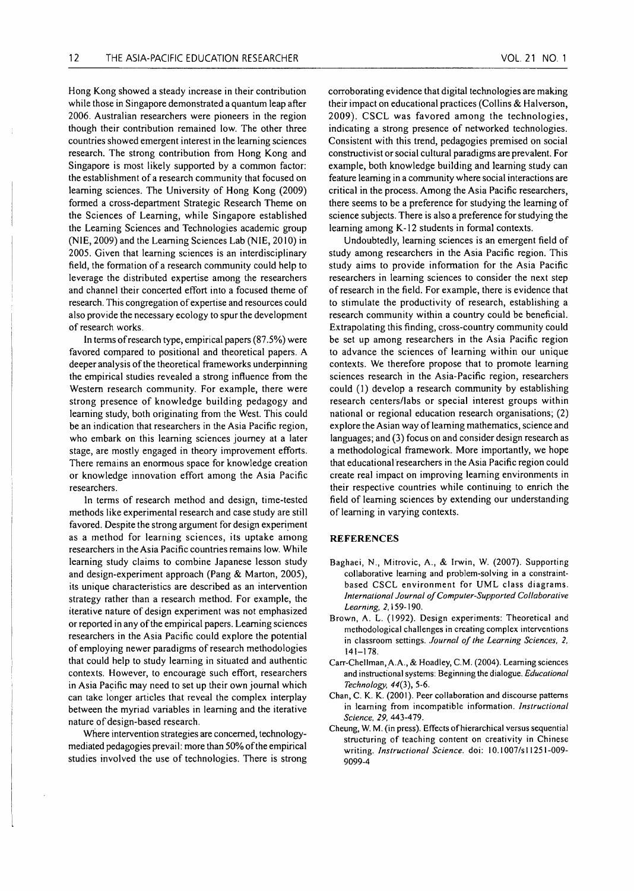Hong Kong showed a steady increase in their contribution while those in Singapore demonstrated a quantum leap after 2006. Australian researchers were pioneers in the region though their contribution remained low. The other three countries showed emergent interest in the learning sciences research. The strong contribution from Hong Kong and Singapore is most likely supported by a common factor: the establishment of a research community that focused on learning sciences. The University of Hong Kong (2009) formed a cross-department Strategic Research Theme on the Sciences of Learning, while Singapore established the Learning Sciences and Technologies academic group (NIE, 2009) and the Learning Sciences Lab (NIE, 2010) in 2005. Given that learning sciences is an interdisciplinary field, the formation of a research community could help to leverage the distributed expertise among the researchers and channel their concerted effort into a focused theme of research. This congregation of expertise and resources could also provide the necessary ecology to spur the development of research works.

In terms of research type, empirical papers (87 .5%) were favored compared to positional and theoretical papers. A deeper analysis of the theoretical frameworks underpinning the empirical studies revealed a strong influence from the Western research community. For example, there were strong presence of knowledge building pedagogy and learning study, both originating from the West. This could be an indication that researchers in the Asia Pacific region, who embark on this learning sciences journey at a later stage, are mostly engaged in theory improvement efforts. There remains an enormous space for knowledge creation or knowledge innovation effort among the Asia Pacific researchers.

In terms of research method and design, time-tested methods like experimental research and case study are still favored. Despite the strong argument for design experiment as a method for learning sciences, its uptake among researchers in the Asia Pacific countries remains low. While learning study claims to combine Japanese lesson study and design-experiment approach (Pang & Marton, 2005), its unique characteristics are described as an intervention strategy rather than a research method. For example, the iterative nature of design experiment was not emphasized or reported in any of the empirical papers. Learning sciences researchers in the Asia Pacific could explore the potential of employing newer paradigms of research methodologies that could help to study learning in situated and authentic contexts. However, to encourage such effort, researchers in Asia Pacific may need to set up their own journal which can take longer articles that reveal the complex interplay between the myriad variables in learning and the iterative nature of design-based research.

where intervention strategies are concerned, technologymediated pedagogies prevail: more than 50% of the empirical studies involved the use of technologies. There is strong corroborating evidence that digital technologies are making their impact on educational practices (Collins & Halverson, 2009). CSCL was favored among the technologies, indicating a strong presence of networked technologies. Consistent with this trend, pedagogies premised on social constructivist or social cultural paradigms are prevalent. For example, both knowledge building and learning study can feature learning in a community where social interactions are critical in the process. Among the Asia Pacific researchers, there seems to be a preference for studying the learning of science subjects. There is also a preference for studying the learning among K-12 students in formal contexts.

Undoubtedly, learning sciences is an emergent field of study among researchers in the Asia Pacific region. This study aims to provide information for the Asia Pacific researchers in learning sciences to consider the next step of research in the field. For example, there is evidence that to stimulate the productivity of research, establishing a research community within a country could be beneficial. Extrapolating this finding, cross-country community could be set up among researchers in the Asia Pacific region to advance the sciences of learning within our unique contexts. We therefore propose that to promote learning sciences research in the Asia-Pacific region, researchers could (1) develop a research community by establishing research centers/labs or special interest groups within national or regional education research organisations; (2) explore the Asian way of learning mathematics, science and languages; and (3) focus on and consider design research as a methodological framework. More importantly, we hope that educational'researchers in the Asia Pacific region could create real impact on improving learning environments in their respective countries while continuing to enrich the field of learning sciences by extending our understanding of learning in varying contexts.

# **REFERENCES**

- Baghaei, N., Mitrovic, A., & Irwin, W. (2007). Supporting collaborative learning and problem-solving in a constraintbased CSCL environment for UML class diagrams. *International Journal of Computer-Supported Collaborative Learning, 2,* 159-190.
- Brown, A. L. (1992). Design experiments: Theoretical and methodological challenges in creating complex interventions in classroom settings. *Journal of the Learning Sciences, 2,*  141-178.
- Carr-Chellman, A.A., & Hoadley, C.M. (2004). Learning sciences and instructional systems: Beginning the dialogue. *Educational Technology, 44(3),* 5-6.
- Chan, C. K. K. (200 I). Peer collaboration and discourse patterns in learning from incompatible information. *Instructional Science, 29,* 443-4 79.
- Cheung, W. M. (in press). Effects of hierarchical versus sequential structuring of teaching content on creativity in Chinese writing. *Instructional Science*. doi: 10.1007/s11251-009-9099-4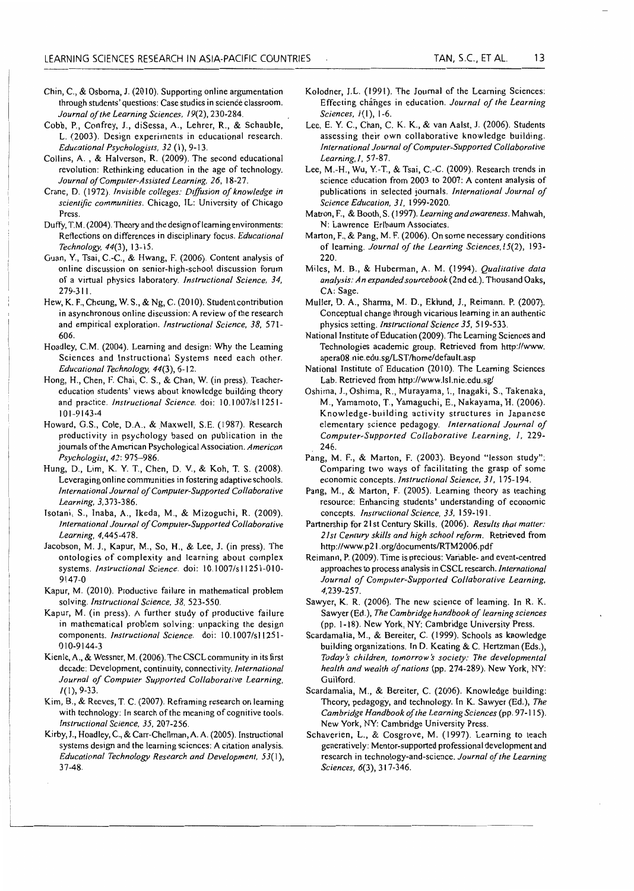- Chin, C., & Osborna, J. (2010). Supporting online argumentation through students' questions: Case studies in science Classroom. *Journal of the Learning Sciences, 19(2),* 230-284.
- Cobb, P., Confrey, J., diSessa, A., Lehrer, R., & Schauble, L. (2003). Design experiments in educational research. *Educational Psychologists, 32* (1), 9-13.
- Collins, A. , & Halverson, R. (2009). The second educational revolution: Rethinking education in the age of technology. *Journal ofComputer-Assisted Learning, 26,* 18-27.
- Crane, D. ( 1972). *Invisible colleges: Diffusion of knowledge in scientific communities.* Chicago, IL: University of Chicago Press.
- Duffy, T.M. (2004). Theory and the design of learning environments: Reflections on differences in disciplinary focus. *Educational Technology, 44(3),* 13-15.
- Guan, Y., Tsai, C.-C., & Hwang, F. (2006). Content analysis of online discussion on senior-high-school discussion forum of a virtual physics laboratory. *Instructional Science, 34,*  279-311.
- Hew, K. F., Cheung, W. S., & Ng, C. (2010). Student contribution in asynchronous online discussion: A review of the research and empirical exploration. *Instructional Science, 38,* 571- 606.
- Hoadley, C.M. (2004). Learning and design: Why the Learning Sciences and Instructional Systems need each other. *Educational Technology, 44(3),* 6-12.
- Hong, H., Chen, F. Chai, C. S., & Chan, W. (in press). Teachereducation students' views about knowledge building theory and practice. *Instructional Science.* doi: 10.1 007/s 11251- 101-9143-4
- Howard, G.S., Cole, D.A., & Maxwell, S.E. (1987). Research productivity in psychology based on publication in the journals of the American Psychological Association. *American Psychologist, 42:* 975-986.
- Hung, D., Lim, K. Y. T., Chen, D. V., & Koh, T. S. (2008). Leveraging online communities in fostering adaptive schools. *International Journal of Computer-Supported Collaborative Learning,* 3,373-386.
- Isotani, S., Inaba, A., Ikeda, M., & Mizoguchi, R. (2009). *International Journal of Computer-Supported Collaborative Learning,* 4,445-478.
- Jacobson, M. J., Kapur, M., So, H., & Lee, J. (in press). The ontologies of complexity and learning about complex systems. *Instructional Science.* doi: 10.1007/sli25J-010- 9147-0
- Kapur, M. (2010). Productive failure in mathematical problem solving. *Instructional Science, 38,* 523-550.
- Kapur, M. (in press). A further study of productive failure in mathematical problem solving: unpacking the design components. *Instructional Science.* doi: 10.1007/s11251-010-9144-3
- Kienle, A., & Wessner, M. (2006). The CSCL community in its first decade: Development, continuity, connectivity. *International Journal of Computer Supported Collaborative Learning,*  /(1), 9-33.
- Kim, B., & Reeves, T. C. (2007). Reframing research on learning with technology: In search of the meaning of cognitive tools. *Instructional Science, 35,* 207-256.
- Kirby, J., Hoadley, C., & Carr-Chellman, A. A. (2005). Instructional systems design and the learning sciences: A citation analysis. *Educational Technology Research and Development, 53(1* ), 37-48.
- Kolodner, J.L. (1991). The Journal of the Learning Sciences: Effecting changes in education. *Journal of the Learning Sciences, I* (I), l-6.
- Lee, E. Y. C., Chan, C. K. K., & van Aalst, J. (2006). Students assessing their own collaborative knowledge building. *International Journal of Computer-Supported Collaborative Learning,/,* 57-87.
- Lee, M.-H., Wu, Y.-T., & Tsai, C.-C. (2009). Research trends in science education from 2003 to 2007: A content analysis of publications in selected journals. *International Journal of Science Education, 31,* 1999-2020.
- Matron, F., & Booth, S. (1997). *Learning and awareness.* Mahwah, N: Lawrence Erlbaum Associates.
- Marton, F., & Pang, M. F. (2006). On some necessary conditions of learning. *Journal of the Learning Sciences, 15(2),* 193- 220.
- Miles, M. B., & Huberman, A. M. (1994). *Qualitative data analysis: An expanded sourcebook* (2nd ed.). Thousand Oaks, CA: Sage.
- Muller, D. A., Sharma, M. D., Eklund, J., Reimann. P. (2007). Conceptual change through vicarious learning in an authentic physics setting. *Instructional Science 35,* 519-533.
- National Institute of Education (2009). The Learning Sciences and Technologies academic group. Retrieved from http://www. apera08.nie.edu.sg/LST/home/default.asp
- National Institute of Education (2010). The Learning Sciences Lab. Retrieved from http://www.lsl.nie.edu.sg/
- Oshima, J., Oshima, R., Murayama, I., Inagaki, S., Takenaka, M., Yamamoto, T., Yamaguchi, E., Nakayama, H. (2006). Knowledge-building activity structures in Japanese elementary science pedagogy. *International Journal of Computer-Supported Collaborative Learning, I,* 229- 246.
- Pang, M. F., & Marton, F. (2003). Beyond "lesson study": Comparing two ways of facilitating the grasp of some economic concepts. *Instructional Science, 3/,* 175-194.
- Pang, M., & Marton, F. (2005). Learning theory as teaching resource: Enhancing students' understanding of economic concepts. *Instructional Science, 33,* 159-191.
- Partnership for 21st Century Skills. (2006). *Results that matter: 21st Century skills and high school reform.* Retrieved from http://www.p21.org/documents/RTM2006.pdf
- Reimann, P. (2009). Time is precious: Variable- and event-centred approaches to process analysis in CSCL research. *International Journal of Computer-Supported Collaborative Learning,*  4,239-257.
- Sawyer, K. R. (2006). The new science of learning. In R. K. Sawyer (Ed.), *The Cambridge handbook of learning sciences*  (pp. I -18). New York, NY: Cambridge University Press.
- Scardamalia, M., & Bereiter, C. (1999). Schools as knowledge building organizations. In D. Keating & C. Hertzman (Eds.), *Today 's children, tomorrow's society: The developmental health and wealth of nations* (pp. 274-289). New York, NY: Guilford.
- Scardamalia, M., & Bereiter, C. (2006). Knowledge building: Theory, pedagogy, and technology. InK. Sawyer (Ed.), *The*  Cambridge Handbook of the Learning Sciences (pp. 97-115). New York, NY: Cambridge University Press.
- Schaverien, L., & Cosgrove, M. (1997). Learning to teach generatively: Mentor-supported professional development and research in technology-and-science. *Journal of the Learning Sciences, 6(3),* 317-346.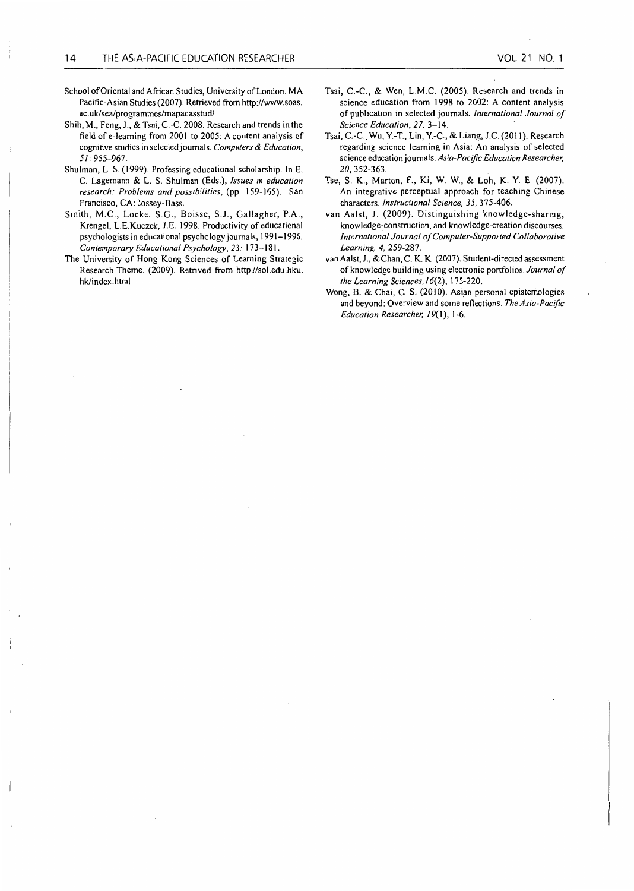- School of Oriental and African Studies, University of London. MA Pacific-Asian Studies (2007). Retrieved from http://www.soas. ac. uklsea/programmes/mapacasstud/
- Shih, M., Feng, J., & Tsai, C.-C. 2008. Research and trends in the field of e-learning from 2001 to 2005: A content analysis of cognitive studies in selected journals. *Computers* & *Education,*  5/: 955-967.
- Shulman, L. S. (1999). Professing educational scholarship. In E. C. Lagemann & L. S. Shulman (Eds.), *Issues in education research: Problems and possibilities,* (pp. 159-165). San Francisco, CA: Jossey-Bass.
- Smith, M.C., Locke, S.G., Boisse, S.J., Gallagher, P.A., Krengel, L.E.Kuczek, J.E. 1998. Productivity of educational psychologists in educational psychology journals, 1991-1996. *Contemporary Educational Psychology, 2 3:* 173-181.
- The University of Hong Kong Sciences of Learning Strategic Research Theme. (2009). Retrived from http://sol.edu.hku. hk/index.html
- Tsai, C.-C., & Wen, L.M.C. (2005). Research and trends in science education from 1998 to 2002: A content analysis of publication in selected journals. *International Journal of Science Education, 27:* 3-14.
- Tsai, C.-C., Wu, Y.-T., Lin, Y.-C., & Liang, J.C. (20 II). Research regarding science learning in Asia: An analysis of selected science education journals. *Asia-Pacific Education Researcher,*  20, 352-363.
- Tse, S. K., Marton, F., Ki, W. W., & Loh, K. Y. E. (2007). An integrative perceptual approach for teaching Chinese characters. *Instructional Science, 35,* 375-406.
- van Aalst, J. (2009). Distinguishing knowledge-sharing, knowledge-construction, and knowledge-creation discourses. *International Journal of Computer-Supported Collaborative Learning, 4,* 259-287.
- van Aalst, J., & Chan, C. K. K. (2007). Student-directed assessment of knowledge building using electronic portfolios. *Journal of the Learning Sciences, 1* 6(2), 175-220.
- Wong, B. & Chai, C. S. (2010). Asian personal epistemologies and beyond: Overview and some reflections. *The Asia-Pacific Education Researcher, 1 9(* I), 1-6.